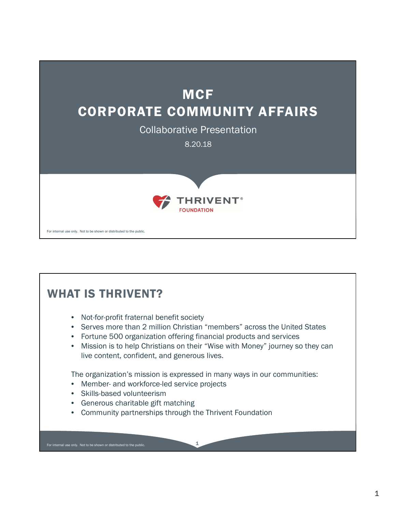

## For internal use only. Not to be shown or distributed to the public. WHAT IS THRIVENT? • Not-for-profit fraternal benefit society • Serves more than 2 million Christian "members" across the United States • Fortune 500 organization offering financial products and services • Mission is to help Christians on their "Wise with Money" journey so they can live content, confident, and generous lives. The organization's mission is expressed in many ways in our communities: • Member- and workforce-led service projects • Skills-based volunteerism • Generous charitable gift matching • Community partnerships through the Thrivent Foundation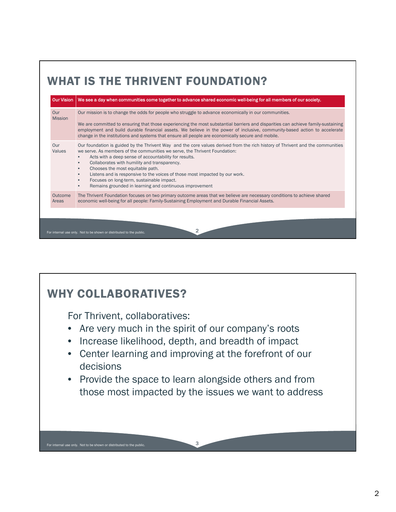

## WHY COLLABORATIVES?

For Thrivent, collaboratives:

For internal use only. Not to be shown or distributed to the public. 3

- Are very much in the spirit of our company's roots
- Increase likelihood, depth, and breadth of impact
- Center learning and improving at the forefront of our decisions
- Provide the space to learn alongside others and from those most impacted by the issues we want to address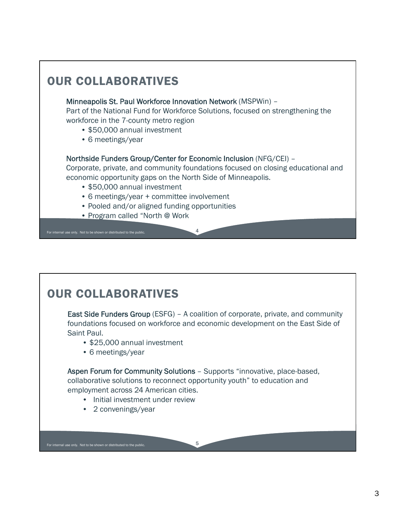

## OUR COLLABORATIVES

East Side Funders Group (ESFG) – A coalition of corporate, private, and community foundations focused on workforce and economic development on the East Side of Saint Paul.

- \$25,000 annual investment
- 6 meetings/year

Aspen Forum for Community Solutions – Supports "innovative, place-based, collaborative solutions to reconnect opportunity youth" to education and employment across 24 American cities.

- Initial investment under review
- 2 convenings/year

For internal use only. Not to be shown or distributed to the public. 5